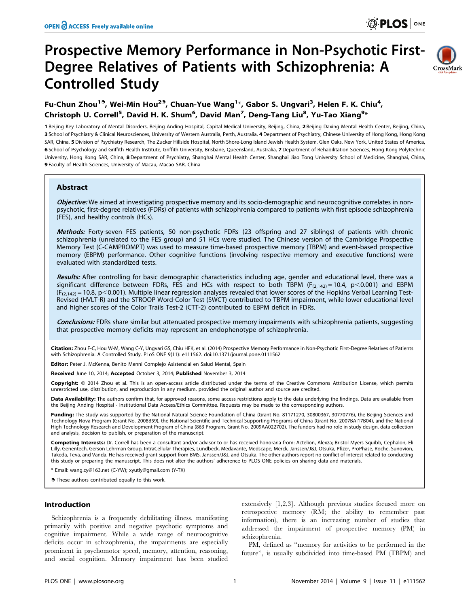# Prospective Memory Performance in Non-Psychotic First-Degree Relatives of Patients with Schizophrenia: A Controlled Study



# Fu-Chun Zhou<sup>19</sup>, Wei-Min Hou<sup>29</sup>, Chuan-Yue Wang<sup>1</sup>\*, Gabor S. Ungvari<sup>3</sup>, Helen F. K. Chiu<sup>4</sup>, Christoph U. Correll<sup>5</sup>, David H. K. Shum<sup>6</sup>, David Man<sup>7</sup>, Deng-Tang Liu<sup>8</sup>, Yu-Tao Xiang<sup>9</sup>\*

1 Beijing Key Laboratory of Mental Disorders, Beijing Anding Hospital, Capital Medical University, Beijing, China, 2 Beijing Daxing Mental Health Center, Beijing, China, 3 School of Psychiatry & Clinical Neurosciences, University of Western Australia, Perth, Australia, 4 Department of Psychiatry, Chinese University of Hong Kong, Hong Kong SAR, China, 5 Division of Psychiatry Research, The Zucker Hillside Hospital, North Shore-Long Island Jewish Health System, Glen Oaks, New York, United States of America, 6 School of Psychology and Griffith Health Institute, Griffith University, Brisbane, Queensland, Australia, 7 Department of Rehabilitation Sciences, Hong Kong Polytechnic University, Hong Kong SAR, China, 8 Department of Psychiatry, Shanghai Mental Health Center, Shanghai Jiao Tong University School of Medicine, Shanghai, China, 9 Faculty of Health Sciences, University of Macau, Macao SAR, China

# Abstract

Objective: We aimed at investigating prospective memory and its socio-demographic and neurocognitive correlates in nonpsychotic, first-degree relatives (FDRs) of patients with schizophrenia compared to patients with first episode schizophrenia (FES), and healthy controls (HCs).

Methods: Forty-seven FES patients, 50 non-psychotic FDRs (23 offspring and 27 siblings) of patients with chronic schizophrenia (unrelated to the FES group) and 51 HCs were studied. The Chinese version of the Cambridge Prospective Memory Test (C-CAMPROMPT) was used to measure time-based prospective memory (TBPM) and event-based prospective memory (EBPM) performance. Other cognitive functions (involving respective memory and executive functions) were evaluated with standardized tests.

Results: After controlling for basic demographic characteristics including age, gender and educational level, there was a significant difference between FDRs, FES and HCs with respect to both TBPM ( $F_{(2,142)} = 10.4$ , p $\lt 0.001$ ) and EBPM  $(F<sub>(2,142)</sub> = 10.8, p<0.001)$ . Multiple linear regression analyses revealed that lower scores of the Hopkins Verbal Learning Test-Revised (HVLT-R) and the STROOP Word-Color Test (SWCT) contributed to TBPM impairment, while lower educational level and higher scores of the Color Trails Test-2 (CTT-2) contributed to EBPM deficit in FDRs.

Conclusions: FDRs share similar but attenuated prospective memory impairments with schizophrenia patients, suggesting that prospective memory deficits may represent an endophenotype of schizophrenia.

Citation: Zhou F-C, Hou W-M, Wang C-Y, Ungvari GS, Chiu HFK, et al. (2014) Prospective Memory Performance in Non-Psychotic First-Degree Relatives of Patients with Schizophrenia: A Controlled Study. PLoS ONE 9(11): e111562. doi:10.1371/journal.pone.0111562

Editor: Peter J. McKenna, Benito Menni Complejo Asistencial en Salud Mental, Spain

Received June 10, 2014; Accepted October 3, 2014; Published November 3, 2014

Copyright: © 2014 Zhou et al. This is an open-access article distributed under the terms of the [Creative Commons Attribution License,](http://creativecommons.org/licenses/by/4.0/) which permits unrestricted use, distribution, and reproduction in any medium, provided the original author and source are credited.

Data Availability: The authors confirm that, for approved reasons, some access restrictions apply to the data underlying the findings. Data are available from the Beijing Anding Hospital - Institutional Data Access/Ethics Committee. Requests may be made to the corresponding authors.

Funding: The study was supported by the National Natural Science Foundation of China (Grant No. 81171270, 30800367, 30770776), the Beijing Sciences and Technology Nova Program (Grant No. 2008B59), the National Scientific and Technical Supporting Programs of China (Grant No. 2007BAI17B04), and the National High Technology Research and Development Program of China (863 Program. Grant No. 2009AA022702). The funders had no role in study design, data collection and analysis, decision to publish, or preparation of the manuscript.

Competing Interests: Dr. Correll has been a consultant and/or advisor to or has received honoraria from: Actelion, Alexza; Bristol-Myers Squibb, Cephalon, Eli Lilly, Genentech, Gerson Lehrman Group, IntraCellular Therapies, Lundbeck, Medavante, Medscape, Merck, Janssen/J&J, Otsuka, Pfizer, ProPhase, Roche, Sunovion, Takeda, Teva, and Vanda. He has received grant support from BMS, Janssen/J&J, and Otsuka. The other authors report no conflict of interest related to conducting this study or preparing the manuscript. This does not alter the authors' adherence to PLOS ONE policies on sharing data and materials.

\* Email: wang.cy@163.net (C-YW); xyutly@gmail.com (Y-TX)

**.** These authors contributed equally to this work.

## Introduction

Schizophrenia is a frequently debilitating illness, manifesting primarily with positive and negative psychotic symptoms and cognitive impairment. While a wide range of neurocognitive deficits occur in schizophrenia, the impairments are especially prominent in psychomotor speed, memory, attention, reasoning, and social cognition. Memory impairment has been studied

extensively [1,2,3]. Although previous studies focused more on retrospective memory (RM; the ability to remember past information), there is an increasing number of studies that addressed the impairment of prospective memory (PM) in schizophrenia.

PM, defined as ''memory for activities to be performed in the future'', is usually subdivided into time-based PM (TBPM) and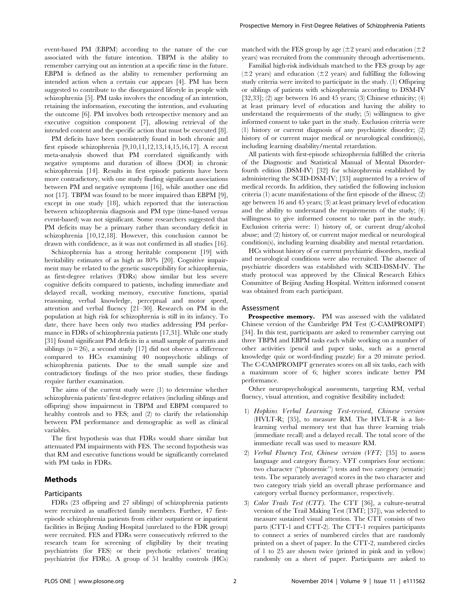event-based PM (EBPM) according to the nature of the cue associated with the future intention. TBPM is the ability to remember carrying out an intention at a specific time in the future. EBPM is defined as the ability to remember performing an intended action when a certain cue appears [4]. PM has been suggested to contribute to the disorganized lifestyle in people with schizophrenia [5]. PM tasks involves the encoding of an intention, retaining the information, executing the intention, and evaluating the outcome [6]. PM involves both retrospective memory and an executive cognition component [7], allowing retrieval of the intended content and the specific action that must be executed [8].

PM deficits have been consistently found in both chronic and first episode schizophrenia [9,10,11,12,13,14,15,16,17]. A recent meta-analysis showed that PM correlated significantly with negative symptoms and duration of illness (DOI) in chronic schizophrenia [14]. Results in first episode patients have been more contradictory, with one study finding significant associations between PM and negative symptoms [16], while another one did not [17]. TBPM was found to be more impaired than EBPM [9], except in one study [18], which reported that the interaction between schizophrenia diagnosis and PM type (time-based versus event-based) was not significant. Some researchers suggested that PM deficits may be a primary rather than secondary deficit in schizophrenia [10,12,18]. However, this conclusion cannot be drawn with confidence, as it was not confirmed in all studies [16].

Schizophrenia has a strong heritable component [19] with heritability estimates of as high as 80% [20]. Cognitive impairment may be related to the genetic susceptibility for schizophrenia, as first-degree relatives (FDRs) show similar but less severe cognitive deficits compared to patients, including immediate and delayed recall, working memory, executive functions, spatial reasoning, verbal knowledge, perceptual and motor speed, attention and verbal fluency [21–30]. Research on PM in the population at high risk for schizophrenia is still in its infancy. To date, there have been only two studies addressing PM performance in FDRs of schizophrenia patients [17,31]. While one study [31] found significant PM deficits in a small sample of parents and siblings  $(n = 26)$ , a second study [17] did not observe a difference compared to HCs examining 40 nonpsychotic siblings of schizophrenia patients. Due to the small sample size and contradictory findings of the two prior studies, these findings require further examination.

The aims of the current study were (1) to determine whether schizophrenia patients' first-degree relatives (including siblings and offspring) show impairment in TBPM and EBPM compared to healthy controls and to FES; and (2) to clarify the relationship between PM performance and demographic as well as clinical variables.

The first hypothesis was that FDRs would share similar but attenuated PM impairments with FES. The second hypothesis was that RM and executive functions would be significantly correlated with PM tasks in FDRs.

#### Methods

#### Participants

FDRs (23 offspring and 27 siblings) of schizophrenia patients were recruited as unaffected family members. Further, 47 firstepisode schizophrenia patients from either outpatient or inpatient facilities in Beijing Anding Hospital (unrelated to the FDR group) were recruited. FES and FDRs were consecutively referred to the research team for screening of eligibility by their treating psychiatrists (for FES) or their psychotic relatives' treating psychiatrist (for FDRs). A group of 51 healthy controls (HCs)

matched with the FES group by age ( $\pm 2$  years) and education ( $\pm 2$ ) years) was recruited from the community through advertisements.

Familial high-risk individuals matched to the FES group by age  $(\pm 2 \text{ years})$  and education  $(\pm 2 \text{ years})$  and fulfilling the following study criteria were invited to participate in the study. (1) Offspring or siblings of patients with schizophrenia according to DSM-IV  $[32,33]$ ; (2) age between 16 and 45 years; (3) Chinese ethnicity; (4) at least primary level of education and having the ability to understand the requirements of the study; (5) willingness to give informed consent to take part in the study. Exclusion criteria were (1) history or current diagnosis of any psychiatric disorder; (2) history of or current major medical or neurological condition(s), including learning disability/mental retardation.

All patients with first-episode schizophrenia fulfilled the criteria of the Diagnostic and Statistical Manual of Mental Disorderfourth edition (DSM-IV) [32] for schizophrenia established by administering the SCID-DSM-IV; [33] augmented by a review of medical records. In addition, they satisfied the following inclusion criteria (1) acute manifestations of the first episode of the illness; (2) age between 16 and 45 years; (3) at least primary level of education and the ability to understand the requirements of the study; (4) willingness to give informed consent to take part in the study. Exclusion criteria were: 1) history of, or current drug/alcohol abuse; and (2) history of, or current major medical or neurological condition(s), including learning disability and mental retardation.

HCs without history of or current psychiatric disorders, medical and neurological conditions were also recruited. The absence of psychiatric disorders was established with SCID-DSM-IV. The study protocol was approved by the Clinical Research Ethics Committee of Beijing Anding Hospital. Written informed consent was obtained from each participant.

#### Assessment

Prospective memory. PM was assessed with the validated Chinese version of the Cambridge PM Test (C-CAMPROMPT) [34]. In this test, participants are asked to remember carrying out three TBPM and EBPM tasks each while working on a number of other activities (pencil and paper tasks, such as a general knowledge quiz or word-finding puzzle) for a 20 minute period. The C-CAMPROMPT generates scores on all six tasks, each with a maximum score of 6; higher scores indicate better PM performance.

Other neuropsychological assessments, targeting RM, verbal fluency, visual attention, and cognitive flexibility included:

- 1) Hopkins Verbal Learning Test-revised, Chinese version (HVLT-R; [35], to measure RM. The HVLT-R is a listlearning verbal memory test that has three learning trials (immediate recall) and a delayed recall. The total score of the immediate recall was used to measure RM.
- 2) Verbal Fluency Test, Chinese version (VFT; [35] to assess language and category fluency. VFT comprises four sections: two character (''phonemic'') tests and two category (sematic) tests. The separately averaged scores in the two character and two category trials yield an overall phrase performance and category verbal fluency performance, respectively.
- 3) Color Trails Test (CTT). The CTT [36], a culture-neutral version of the Trail Making Test (TMT; [37]), was selected to measure sustained visual attention. The CTT consists of two parts (CTT-1 and CTT-2). The CTT-1 requires participants to connect a series of numbered circles that are randomly printed on a sheet of paper. In the CTT-2, numbered circles of 1 to 25 are shown twice (printed in pink and in yellow) randomly on a sheet of paper. Participants are asked to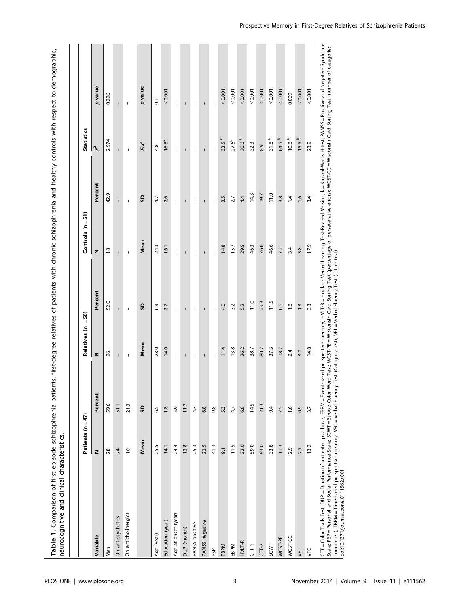Table 1. Comparison of first episode schizophrenia patients, first-degree relatives of patients with chronic schizophrenia and healthy controls with respect to demographic,<br>neurocognitive and clinical characteristics. Table 1. Comparison of first episode schizophrenia patients, first-degree relatives of patients with chronic schizophrenia and healthy controls with respect to demographic, neurocognitive and clinical characteristics.

|                                                                                                                                                                                                                                                                                                                                                                                                                                                                                                                                                                                                                                          | Patients (n = 47) |               | Relatives (n = 50)                                                                                                                                                                                                                                                                                                                                                               |                  | Controls $(n = 51)$      |                                                                                                                                                                                                                                                                                                                                                                                  | <b>Statistics</b>   |                |
|------------------------------------------------------------------------------------------------------------------------------------------------------------------------------------------------------------------------------------------------------------------------------------------------------------------------------------------------------------------------------------------------------------------------------------------------------------------------------------------------------------------------------------------------------------------------------------------------------------------------------------------|-------------------|---------------|----------------------------------------------------------------------------------------------------------------------------------------------------------------------------------------------------------------------------------------------------------------------------------------------------------------------------------------------------------------------------------|------------------|--------------------------|----------------------------------------------------------------------------------------------------------------------------------------------------------------------------------------------------------------------------------------------------------------------------------------------------------------------------------------------------------------------------------|---------------------|----------------|
| Variable                                                                                                                                                                                                                                                                                                                                                                                                                                                                                                                                                                                                                                 | z                 | Percent       | z                                                                                                                                                                                                                                                                                                                                                                                | Percent          | z                        | Percent                                                                                                                                                                                                                                                                                                                                                                          | ∣ ~                 | pvalue         |
| Men                                                                                                                                                                                                                                                                                                                                                                                                                                                                                                                                                                                                                                      | 28                | 59.6          | 26                                                                                                                                                                                                                                                                                                                                                                               | 52.0             | $\frac{8}{2}$            | 42.9                                                                                                                                                                                                                                                                                                                                                                             | 2.974               | 0.226          |
| On antipsychotics                                                                                                                                                                                                                                                                                                                                                                                                                                                                                                                                                                                                                        | 24                | 51.1          | $\mathbf{I}$                                                                                                                                                                                                                                                                                                                                                                     | $\mathbf{I}$     | $\overline{1}$           | $\overline{1}$                                                                                                                                                                                                                                                                                                                                                                   | $\overline{1}$      | $\overline{1}$ |
| On anticholinergics                                                                                                                                                                                                                                                                                                                                                                                                                                                                                                                                                                                                                      | $\overline{0}$    | 21.3          | $\sf I$                                                                                                                                                                                                                                                                                                                                                                          | $\sf I$          | $\mathsf I$              | $\mathsf I$                                                                                                                                                                                                                                                                                                                                                                      | $\mathsf I$         | $\overline{1}$ |
|                                                                                                                                                                                                                                                                                                                                                                                                                                                                                                                                                                                                                                          | Mean              | G             | Mean                                                                                                                                                                                                                                                                                                                                                                             | G                | Mean                     | G                                                                                                                                                                                                                                                                                                                                                                                | Fix                 | pvalue         |
| Age (year)                                                                                                                                                                                                                                                                                                                                                                                                                                                                                                                                                                                                                               | 25.5              | 6.5           | 28.0                                                                                                                                                                                                                                                                                                                                                                             | 63               | 24.3                     | 4.7                                                                                                                                                                                                                                                                                                                                                                              | 4.8                 | $\overline{0}$ |
| Education (year)                                                                                                                                                                                                                                                                                                                                                                                                                                                                                                                                                                                                                         | 14.1              | 1.8           | 14.0                                                                                                                                                                                                                                                                                                                                                                             | 2.7              | 16.1                     | 2.6                                                                                                                                                                                                                                                                                                                                                                              | $16.8^{k}$          | < 0.001        |
| Age at onset (year)                                                                                                                                                                                                                                                                                                                                                                                                                                                                                                                                                                                                                      | 24.4              | 5.9           | $\begin{array}{c} \rule{0pt}{2.5ex} \rule{0pt}{2.5ex} \rule{0pt}{2.5ex} \rule{0pt}{2.5ex} \rule{0pt}{2.5ex} \rule{0pt}{2.5ex} \rule{0pt}{2.5ex} \rule{0pt}{2.5ex} \rule{0pt}{2.5ex} \rule{0pt}{2.5ex} \rule{0pt}{2.5ex} \rule{0pt}{2.5ex} \rule{0pt}{2.5ex} \rule{0pt}{2.5ex} \rule{0pt}{2.5ex} \rule{0pt}{2.5ex} \rule{0pt}{2.5ex} \rule{0pt}{2.5ex} \rule{0pt}{2.5ex} \rule{0$ | $\mathbb{I}$     | $\mathbb{I}$             | I.                                                                                                                                                                                                                                                                                                                                                                               | I.                  | Ţ              |
| DUP (month)                                                                                                                                                                                                                                                                                                                                                                                                                                                                                                                                                                                                                              | 12.8              | 11.7          | $\mathsf{I}$                                                                                                                                                                                                                                                                                                                                                                     |                  | $\overline{1}$           | $\mathbf{I}$                                                                                                                                                                                                                                                                                                                                                                     | $\mathsf{I}$        | $\mathsf{I}$   |
| PANSS positive                                                                                                                                                                                                                                                                                                                                                                                                                                                                                                                                                                                                                           | 25.3              | 4.3           | J                                                                                                                                                                                                                                                                                                                                                                                | п                | $\overline{1}$           | $\sf I$                                                                                                                                                                                                                                                                                                                                                                          | $\overline{1}$      | п              |
| PANSS negative                                                                                                                                                                                                                                                                                                                                                                                                                                                                                                                                                                                                                           | 22.5              | 6.8           | $\overline{\phantom{a}}$                                                                                                                                                                                                                                                                                                                                                         | $\overline{1}$   | $\overline{\phantom{a}}$ | $\overline{1}$                                                                                                                                                                                                                                                                                                                                                                   | $\mathbf{I}$        | $\overline{1}$ |
| ЪŠЬ                                                                                                                                                                                                                                                                                                                                                                                                                                                                                                                                                                                                                                      | 41.3              | 9.8           | I                                                                                                                                                                                                                                                                                                                                                                                | I                | $\mathbb{I}$             | $\begin{array}{c} \rule{0pt}{2.5ex} \rule{0pt}{2.5ex} \rule{0pt}{2.5ex} \rule{0pt}{2.5ex} \rule{0pt}{2.5ex} \rule{0pt}{2.5ex} \rule{0pt}{2.5ex} \rule{0pt}{2.5ex} \rule{0pt}{2.5ex} \rule{0pt}{2.5ex} \rule{0pt}{2.5ex} \rule{0pt}{2.5ex} \rule{0pt}{2.5ex} \rule{0pt}{2.5ex} \rule{0pt}{2.5ex} \rule{0pt}{2.5ex} \rule{0pt}{2.5ex} \rule{0pt}{2.5ex} \rule{0pt}{2.5ex} \rule{0$ | Ï                   | Ţ              |
| TBPM                                                                                                                                                                                                                                                                                                                                                                                                                                                                                                                                                                                                                                     | 9.1               | 5.3           | 11.4                                                                                                                                                                                                                                                                                                                                                                             | 4.0              | 14.8                     | 3.5                                                                                                                                                                                                                                                                                                                                                                              | 33.5 <sup>k</sup>   | < 0.001        |
| EBPM                                                                                                                                                                                                                                                                                                                                                                                                                                                                                                                                                                                                                                     | 11.5              | 4.7           | 13.8                                                                                                                                                                                                                                                                                                                                                                             | 3.2              | 15.7                     | 2.7                                                                                                                                                                                                                                                                                                                                                                              | $27.6^{k}$          | 0.001          |
| HVLT-R                                                                                                                                                                                                                                                                                                                                                                                                                                                                                                                                                                                                                                   | 22.0              | 6.8           | 26.2                                                                                                                                                                                                                                                                                                                                                                             | 5.2              | 29.5                     | 4.4                                                                                                                                                                                                                                                                                                                                                                              | 30.6 <sup>k</sup>   | < 0.001        |
| $CT-1$                                                                                                                                                                                                                                                                                                                                                                                                                                                                                                                                                                                                                                   | 59.0              | 14.5          | 38.7                                                                                                                                                                                                                                                                                                                                                                             | 11.0             | 46.3                     | 14.3                                                                                                                                                                                                                                                                                                                                                                             | 32.3                | 0.001          |
| $CT-2$                                                                                                                                                                                                                                                                                                                                                                                                                                                                                                                                                                                                                                   | 93.0              | 21.3          | 80.7                                                                                                                                                                                                                                                                                                                                                                             | 23.3             | 76.6                     | 19.7                                                                                                                                                                                                                                                                                                                                                                             | 8.9                 | < 0.001        |
| SCWT                                                                                                                                                                                                                                                                                                                                                                                                                                                                                                                                                                                                                                     | 33.8              | 9.4           | 37.3                                                                                                                                                                                                                                                                                                                                                                             | 11.5             | 46.6                     | 11.0                                                                                                                                                                                                                                                                                                                                                                             | $31.8$ <sup>k</sup> | 0.001          |
| WCST-PE                                                                                                                                                                                                                                                                                                                                                                                                                                                                                                                                                                                                                                  | 11.3              | 7.5           | 18.7                                                                                                                                                                                                                                                                                                                                                                             | 6.6              | 7.2                      | 3.8                                                                                                                                                                                                                                                                                                                                                                              | 64.5 k              | < 0.001        |
| WCST-CC                                                                                                                                                                                                                                                                                                                                                                                                                                                                                                                                                                                                                                  | 2.9               | $\frac{6}{1}$ | 2.4                                                                                                                                                                                                                                                                                                                                                                              | $\frac{8}{1}$    | 3.4                      | $\overline{14}$                                                                                                                                                                                                                                                                                                                                                                  | 10.8 k              | 0.009          |
| <b>VFL</b>                                                                                                                                                                                                                                                                                                                                                                                                                                                                                                                                                                                                                               | 2.7               | 0.9           | 3.0                                                                                                                                                                                                                                                                                                                                                                              | $1.\overline{3}$ | 3.8                      | $\frac{0}{1}$                                                                                                                                                                                                                                                                                                                                                                    | 15.5 k              | < 0.001        |
| ył                                                                                                                                                                                                                                                                                                                                                                                                                                                                                                                                                                                                                                       | 13.2              | 3.7           | 14.8                                                                                                                                                                                                                                                                                                                                                                             | 3.3              | 17.9                     | 3.4                                                                                                                                                                                                                                                                                                                                                                              | 23.9                | < 0.001        |
| CTT = Color Trails Test; DUP = Duration of untreated psychosis; EBPM = Event-based prospective memory; HYLT-R = Hopkins Verbal Learning Test-Revised Version; k = Kruskal-Wallis H test; PANSS = Positive and Negative Syndrom<br>Scale; PSP=Personal and Social Performance Scale; SCWT = Stroop Color Word Test; WCST-PE=Wisconsin Card Sorting Test (percentage of perseverative errors); WCST-CC=Wisconsin Card Sorting Test (number of categories<br>completed); TBPM = Time-based prospective memory; VFC = Verbal Fluency Test (Category test); VFL = Verbal Fluency Test (Letter test).<br>doi:10.1371/journal.pone.0111562.t001 |                   |               |                                                                                                                                                                                                                                                                                                                                                                                  |                  |                          |                                                                                                                                                                                                                                                                                                                                                                                  |                     |                |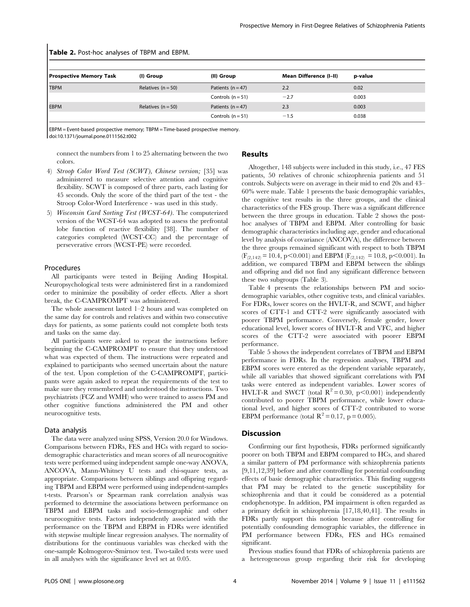| <b>TRUIS 2.</b> TOSCITOC analyses OF TDI IN and LDI IN. |                      |                     |                               |         |  |  |  |
|---------------------------------------------------------|----------------------|---------------------|-------------------------------|---------|--|--|--|
| <b>Prospective Memory Task</b>                          | (I) Group            | (II) Group          | <b>Mean Difference (I-II)</b> | p-value |  |  |  |
| <b>TBPM</b>                                             | Relatives $(n = 50)$ | Patients $(n = 47)$ | 2.2                           | 0.02    |  |  |  |
|                                                         |                      | Controls $(n = 51)$ | $-2.7$                        | 0.003   |  |  |  |
| <b>EBPM</b>                                             | Relatives $(n = 50)$ | Patients $(n = 47)$ | 2.3                           | 0.003   |  |  |  |
|                                                         |                      | Controls $(n = 51)$ | $-1.5$                        | 0.038   |  |  |  |

Table 2. Post-hoc analyses of TBPM and EBPM.

EBPM = Event-based prospective memory; TBPM = Time-based prospective memory. doi:10.1371/journal.pone.0111562.t002

connect the numbers from 1 to 25 alternating between the two colors.

## Results

- 4) Stroop Color Word Test (SCWT), Chinese version; [35] was administered to measure selective attention and cognitive flexibility. SCWT is composed of three parts, each lasting for 45 seconds. Only the score of the third part of the test - the Stroop Color-Word Interference - was used in this study.
- 5) Wisconsin Card Sorting Test (WCST-64). The computerized version of the WCST-64 was adopted to assess the prefrontal lobe function of reactive flexibility [38]. The number of categories completed (WCST-CC) and the percentage of perseverative errors (WCST-PE) were recorded.

# Procedures

All participants were tested in Beijing Anding Hospital. Neuropsychological tests were administered first in a randomized order to minimize the possibility of order effects. After a short break, the C-CAMPROMPT was administered.

The whole assessment lasted 1–2 hours and was completed on the same day for controls and relatives and within two consecutive days for patients, as some patients could not complete both tests and tasks on the same day.

All participants were asked to repeat the instructions before beginning the C-CAMPROMPT to ensure that they understood what was expected of them. The instructions were repeated and explained to participants who seemed uncertain about the nature of the test. Upon completion of the C-CAMPROMPT, participants were again asked to repeat the requirements of the test to make sure they remembered and understood the instructions. Two psychiatrists (FCZ and WMH) who were trained to assess PM and other cognitive functions administered the PM and other neurocognitive tests.

## Data analysis

The data were analyzed using SPSS, Version 20.0 for Windows. Comparisons between FDRs, FES and HCs with regard to sociodemographic characteristics and mean scores of all neurocognitive tests were performed using independent sample one-way ANOVA, ANCOVA, Mann-Whitney U tests and chi-square tests, as appropriate. Comparisons between siblings and offspring regarding TBPM and EBPM were performed using independent-samples t-tests. Pearson's or Spearman rank correlation analysis was performed to determine the associations between performance on TBPM and EBPM tasks and socio-demographic and other neurocognitive tests. Factors independently associated with the performance on the TBPM and EBPM in FDRs were identified with stepwise multiple linear regression analyses. The normality of distributions for the continuous variables was checked with the one-sample Kolmogorov-Smirnov test. Two-tailed tests were used in all analyses with the significance level set at 0.05.

Altogether, 148 subjects were included in this study, i.e., 47 FES patients, 50 relatives of chronic schizophrenia patients and 51 controls. Subjects were on average in their mid to end 20s and 43– 60% were male. Table 1 presents the basic demographic variables, the cognitive test results in the three groups, and the clinical characteristics of the FES group. There was a significant difference between the three groups in education. Table 2 shows the posthoc analyses of TBPM and EBPM. After controlling for basic demographic characteristics including age, gender and educational level by analysis of covariance (ANCOVA), the difference between the three groups remained significant with respect to both TBPM  $(F_{(2,142)} = 10.4, p<0.001)$  and EBPM  $(F_{(2,142)} = 10.8, p<0.001)$ . In addition, we compared TBPM and EBPM between the siblings and offspring and did not find any significant difference between these two subgroups (Table 3).

Table 4 presents the relationships between PM and sociodemographic variables, other cognitive tests, and clinical variables. For FDRs, lower scores on the HVLT-R, and SCWT, and higher scores of CTT-1 and CTT-2 were significantly associated with poorer TBPM performance. Conversely, female gender, lower educational level, lower scores of HVLT-R and VFC, and higher scores of the CTT-2 were associated with poorer EBPM performance.

Table 5 shows the independent correlates of TBPM and EBPM performance in FDRs. In the regression analyses, TBPM and EBPM scores were entered as the dependent variable separately, while all variables that showed significant correlations with PM tasks were entered as independent variables. Lower scores of HVLT-R and SWCT (total  $R^2 = 0.30$ , p $\leq 0.001$ ) independently contributed to poorer TBPM performance, while lower educational level, and higher scores of CTT-2 contributed to worse EBPM performance (total  $R^2 = 0.17$ , p = 0.005).

## **Discussion**

Confirming our first hypothesis, FDRs performed significantly poorer on both TBPM and EBPM compared to HCs, and shared a similar pattern of PM performance with schizophrenia patients [9,11,12,39] before and after controlling for potential confounding effects of basic demographic characteristics. This finding suggests that PM may be related to the genetic susceptibility for schizophrenia and that it could be considered as a potential endophenotype. In addition, PM impairment is often regarded as a primary deficit in schizophrenia [17,18,40,41]. The results in FDRs partly support this notion because after controlling for potentially confounding demographic variables, the difference in PM performance between FDRs, FES and HCs remained significant.

Previous studies found that FDRs of schizophrenia patients are a heterogeneous group regarding their risk for developing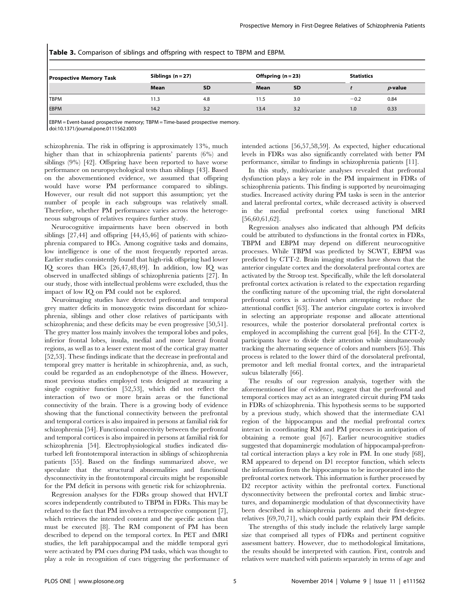| <b>Prospective Memory Task</b> | Siblings $(n=27)$ |           | Offspring $(n = 23)$ |           | <b>Statistics</b> |            |
|--------------------------------|-------------------|-----------|----------------------|-----------|-------------------|------------|
|                                | Mean              | <b>SD</b> | Mean                 | <b>SD</b> |                   | $p$ -value |
| <b>TBPM</b>                    | 11.3              | 4.8       | 11.5                 | 3.0       | $-0.2$            | 0.84       |
| <b>EBPM</b>                    | 14.2              | 3.2       | 13.4                 | 3.2       | 1.0               | 0.33       |

Table 3. Comparison of siblings and offspring with respect to TBPM and EBPM.

EBPM = Event-based prospective memory; TBPM = Time-based prospective memory.

doi:10.1371/journal.pone.0111562.t003

schizophrenia. The risk in offspring is approximately 13%, much higher than that in schizophrenia patients' parents (6%) and siblings (9%) [42]. Offspring have been reported to have worse performance on neuropsychological tests than siblings [43]. Based on the abovementioned evidence, we assumed that offspring would have worse PM performance compared to siblings. However, our result did not support this assumption; yet the number of people in each subgroups was relatively small. Therefore, whether PM performance varies across the heterogeneous subgroups of relatives requires further study.

Neurocognitive impairments have been observed in both siblings [27,44] and offspring [44,45,46] of patients with schizophrenia compared to HCs. Among cognitive tasks and domains, low intelligence is one of the most frequently reported areas. Earlier studies consistently found that high-risk offspring had lower IQ scores than HCs [26,47,48,49]. In addition, low IQ was observed in unaffected siblings of schizophrenia patients [27]. In our study, those with intellectual problems were excluded, thus the impact of low IQ on PM could not be explored.

Neuroimaging studies have detected prefrontal and temporal grey matter deficits in monozygotic twins discordant for schizophrenia, siblings and other close relatives of participants with schizophrenia; and these deficits may be even progressive [50,51]. The grey matter loss mainly involves the temporal lobes and poles, inferior frontal lobes, insula, medial and more lateral frontal regions, as well as to a lesser extent most of the cortical gray matter [52,53]. These findings indicate that the decrease in prefrontal and temporal grey matter is heritable in schizophrenia, and, as such, could be regarded as an endophenotype of the illness. However, most previous studies employed tests designed at measuring a single cognitive function [52,53], which did not reflect the interaction of two or more brain areas or the functional connectivity of the brain. There is a growing body of evidence showing that the functional connectivity between the prefrontal and temporal cortices is also impaired in persons at familial risk for schizophrenia [54]. Functional connectivity between the prefrontal and temporal cortices is also impaired in persons at familial risk for schizophrenia [54]. Electrophysiological studies indicated disturbed left frontotemporal interaction in siblings of schizophrenia patients [55]. Based on the findings summarized above, we speculate that the structural abnormalities and functional dysconnectivity in the frontotemporal circuits might be responsible for the PM deficit in persons with genetic risk for schizophrenia.

Regression analyses for the FDRs group showed that HVLT scores independently contributed to TBPM in FDRs. This may be related to the fact that PM involves a retrospective component [7], which retrieves the intended content and the specific action that must be executed [8]. The RM component of PM has been described to depend on the temporal cortex. In PET and fMRI studies, the left parahippocampal and the middle temporal gyri were activated by PM cues during PM tasks, which was thought to play a role in recognition of cues triggering the performance of intended actions [56,57,58,59]. As expected, higher educational levels in FDRs was also significantly correlated with better PM performance, similar to findings in schizophrenia patients [11].

In this study, multivariate analyses revealed that prefrontal dysfunction plays a key role in the PM impairment in FDRs of schizophrenia patients. This finding is supported by neuroimaging studies. Increased activity during PM tasks is seen in the anterior and lateral prefrontal cortex, while decreased activity is observed in the medial prefrontal cortex using functional MRI [56,60,61,62].

Regression analyses also indicated that although PM deficits could be attributed to dysfunctions in the frontal cortex in FDRs, TBPM and EBPM may depend on different neurocognitive processes. While TBPM was predicted by SCWT, EBPM was predicted by CTT-2. Brain imaging studies have shown that the anterior cingulate cortex and the dorsolateral prefrontal cortex are activated by the Stroop test. Specifically, while the left dorsolateral prefrontal cortex activation is related to the expectation regarding the conflicting nature of the upcoming trial, the right dorsolateral prefrontal cortex is activated when attempting to reduce the attentional conflict [63]. The anterior cingulate cortex is involved in selecting an appropriate response and allocate attentional resources, while the posterior dorsolateral prefrontal cortex is employed in accomplishing the current goal [64]. In the CTT-2, participants have to divide their attention while simultaneously tracking the alternating sequence of colors and numbers [65]. This process is related to the lower third of the dorsolateral prefrontal, premotor and left medial frontal cortex, and the intraparietal sulcus bilaterally [66].

The results of our regression analysis, together with the aforementioned line of evidence, suggest that the prefrontal and temporal cortices may act as an integrated circuit during PM tasks in FDRs of schizophrenia. This hypothesis seems to be supported by a previous study, which showed that the intermediate CA1 region of the hippocampus and the medial prefrontal cortex interact in coordinating RM and PM processes in anticipation of obtaining a remote goal [67]. Earlier neurocognitive studies suggested that dopaminergic modulation of hippocampal-prefrontal cortical interaction plays a key role in PM. In one study [68], RM appeared to depend on D1 receptor function, which selects the information from the hippocampus to be incorporated into the prefrontal cortex network. This information is further processed by D2 receptor activity within the prefrontal cortex. Functional dysconnectivity between the prefrontal cortex and limbic structures, and dopaminergic modulation of that dysconnectivity have been described in schizophrenia patients and their first-degree relatives [69,70,71], which could partly explain their PM deficits.

The strengths of this study include the relatively large sample size that comprised all types of FDRs and pertinent cognitive assessment battery. However, due to methodological limitations, the results should be interpreted with caution. First, controls and relatives were matched with patients separately in terms of age and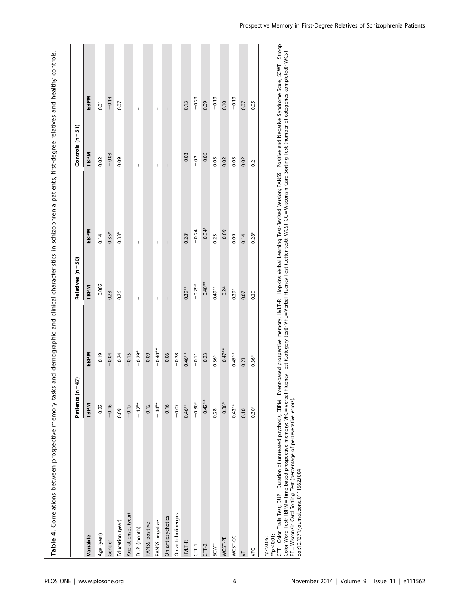| Table 4. Correlations between prospective memory tasks                                                                                                                                                                                                      |                      |           |                          | and demographic and clinical characteristics in schizophrenia patients, first-degree relatives and healthy controls.                                                                                                                                                                                                                                 |                          |                                                                                                                                                                                                                                                                                                                                                      |
|-------------------------------------------------------------------------------------------------------------------------------------------------------------------------------------------------------------------------------------------------------------|----------------------|-----------|--------------------------|------------------------------------------------------------------------------------------------------------------------------------------------------------------------------------------------------------------------------------------------------------------------------------------------------------------------------------------------------|--------------------------|------------------------------------------------------------------------------------------------------------------------------------------------------------------------------------------------------------------------------------------------------------------------------------------------------------------------------------------------------|
|                                                                                                                                                                                                                                                             | 47)<br>Patients (n = |           | Relatives (n = 50)       |                                                                                                                                                                                                                                                                                                                                                      | Controls $(n = 51)$      |                                                                                                                                                                                                                                                                                                                                                      |
| Variable                                                                                                                                                                                                                                                    | <b>TBPM</b>          | EBPM      | <b>TBPM</b>              | EBPM                                                                                                                                                                                                                                                                                                                                                 | <b>TBPM</b>              | EBPM                                                                                                                                                                                                                                                                                                                                                 |
| Age (year)                                                                                                                                                                                                                                                  | $-0.22$              | $-0.19$   | $-0.002$                 | 0.14                                                                                                                                                                                                                                                                                                                                                 | 0.02                     | 0.01                                                                                                                                                                                                                                                                                                                                                 |
| Gender                                                                                                                                                                                                                                                      | $-0.16$              | $-0.04$   | 0.23                     | $0.35*$                                                                                                                                                                                                                                                                                                                                              | $-0.03$                  | $-0.14$                                                                                                                                                                                                                                                                                                                                              |
| Education (year)                                                                                                                                                                                                                                            | 0.09                 | $-0.24$   | 0.26                     | $0.33*$                                                                                                                                                                                                                                                                                                                                              | 0.09                     | 0.07                                                                                                                                                                                                                                                                                                                                                 |
| Age at onset (year)                                                                                                                                                                                                                                         | $-0.17$              | $-0.15$   | Ī                        | $\overline{\phantom{a}}$                                                                                                                                                                                                                                                                                                                             | I.                       | I.                                                                                                                                                                                                                                                                                                                                                   |
| DUP (month)                                                                                                                                                                                                                                                 | $-42**$              | $-0.29*$  | $\overline{\phantom{a}}$ | $\sf I$                                                                                                                                                                                                                                                                                                                                              | $\sf I$                  | $\sf I$                                                                                                                                                                                                                                                                                                                                              |
| PANSS positive                                                                                                                                                                                                                                              | $-0.12$              | $-0.09$   | $\mathbf{I}$             | $\sf I$                                                                                                                                                                                                                                                                                                                                              | $\sf I$                  | $\sf I$                                                                                                                                                                                                                                                                                                                                              |
| PANSS negative                                                                                                                                                                                                                                              | $-44**$              | $-0.40**$ | I                        | $\sf I$                                                                                                                                                                                                                                                                                                                                              | $\sf I$                  | $\sf I$                                                                                                                                                                                                                                                                                                                                              |
| On antipsychotics                                                                                                                                                                                                                                           | $-0.16$              | $-0.06$   |                          | I                                                                                                                                                                                                                                                                                                                                                    | $\overline{\phantom{a}}$ | $\overline{\phantom{a}}$                                                                                                                                                                                                                                                                                                                             |
| On anticholinergics                                                                                                                                                                                                                                         | $-0.07$              | $-0.28$   | I                        | $\begin{array}{c} \rule{0.2cm}{0.15mm} \rule{0.2cm}{0.15mm} \rule{0.2cm}{0.15mm} \rule{0.2cm}{0.15mm} \rule{0.2cm}{0.15mm} \rule{0.2cm}{0.15mm} \rule{0.2cm}{0.15mm} \rule{0.2cm}{0.15mm} \rule{0.2cm}{0.15mm} \rule{0.2cm}{0.15mm} \rule{0.2cm}{0.15mm} \rule{0.2cm}{0.15mm} \rule{0.2cm}{0.15mm} \rule{0.2cm}{0.15mm} \rule{0.2cm}{0.15mm} \rule{$ | $\overline{\phantom{a}}$ | $\begin{array}{c} \rule{0.2cm}{0.15mm} \rule{0.2cm}{0.15mm} \rule{0.2cm}{0.15mm} \rule{0.2cm}{0.15mm} \rule{0.2cm}{0.15mm} \rule{0.2cm}{0.15mm} \rule{0.2cm}{0.15mm} \rule{0.2cm}{0.15mm} \rule{0.2cm}{0.15mm} \rule{0.2cm}{0.15mm} \rule{0.2cm}{0.15mm} \rule{0.2cm}{0.15mm} \rule{0.2cm}{0.15mm} \rule{0.2cm}{0.15mm} \rule{0.2cm}{0.15mm} \rule{$ |
| HVLT-R                                                                                                                                                                                                                                                      | $0.46**$             | $0.46**$  | $0.39**$                 | $0.28*$                                                                                                                                                                                                                                                                                                                                              | $-0.03$                  | 0.13                                                                                                                                                                                                                                                                                                                                                 |
| $\overline{t}$                                                                                                                                                                                                                                              | $-0.30*$             | $-0.11$   | $-0.29*$                 | $-0.24$                                                                                                                                                                                                                                                                                                                                              | $-0.2$                   | $-0.23$                                                                                                                                                                                                                                                                                                                                              |
| $CTT-2$                                                                                                                                                                                                                                                     | $-0.42**$            | $-0.23$   | $-0.40**$                | $-0.34*$                                                                                                                                                                                                                                                                                                                                             | $-0.06$                  | 0.09                                                                                                                                                                                                                                                                                                                                                 |
| SCWT                                                                                                                                                                                                                                                        | 0.28                 | $0.36*$   | $0.49**$                 | 0.23                                                                                                                                                                                                                                                                                                                                                 | 0.05                     | $-0.13$                                                                                                                                                                                                                                                                                                                                              |
| WCST-PE                                                                                                                                                                                                                                                     | $-0.36*$             | $-0.47**$ | $-0.24$                  | $-0.09$                                                                                                                                                                                                                                                                                                                                              | 0.02                     | 0.10                                                                                                                                                                                                                                                                                                                                                 |
| WCST-CC                                                                                                                                                                                                                                                     | $0.42**$             | $0.45**$  | $0.29*$                  | 0.09                                                                                                                                                                                                                                                                                                                                                 | 0.05                     | $-0.13$                                                                                                                                                                                                                                                                                                                                              |
| VFL                                                                                                                                                                                                                                                         | 0.10                 | 0.23      | 0.07                     | 0.14                                                                                                                                                                                                                                                                                                                                                 | 0.02                     | 0.07                                                                                                                                                                                                                                                                                                                                                 |
| ył                                                                                                                                                                                                                                                          | $0.30*$              | $0.36*$   | 0.20                     | $0.28*$                                                                                                                                                                                                                                                                                                                                              | 0.2                      | 0.05                                                                                                                                                                                                                                                                                                                                                 |
| CTT = Color Trails Test; DUP = Duration of untreated psychosis; EBPM = Event-based prospective memory; HVLT-R = Hopkins Verbal Learning Test-Revised Version; PANS5 = Positive and Negative Syndrome Scale; SCWT = Stroop<br>$*^{*}p<0.01;$<br>$*_{p<0.05}$ |                      |           |                          |                                                                                                                                                                                                                                                                                                                                                      |                          |                                                                                                                                                                                                                                                                                                                                                      |

CTT = Color Trails Test; DUP = Duration of untreated psychosis; EBPM = Event-based prospective memory; HVLT-R = Hopkins Verbal Learning Test-Revised Version; PANSS = Positive and Negative Syndrome Scale; SCWT = Stroop l CIT = Color Trails Test; DUM = Duration on untreated psychosis; EBM = Event-based prospective memory; HVLI- N= Hopkins Verbal Learning Test-Revisce and Negative Syndrome Scale; SCWT=Stroot<br>| Color Word Test; TBM = Time-b Color Word Test; TBPM = Time-based prospective memory; VFC = Verbal Fluency Test (Category test); VFL = Verbal Fluency Test (Letter test); WCST-CC = Wisconsin Card Sorting Test (number of categories completed); WCST-PE = Wisconsin Card Sorting Test (percentage of perseverative errors). doi:10.1371/journal.pone.0111562.t004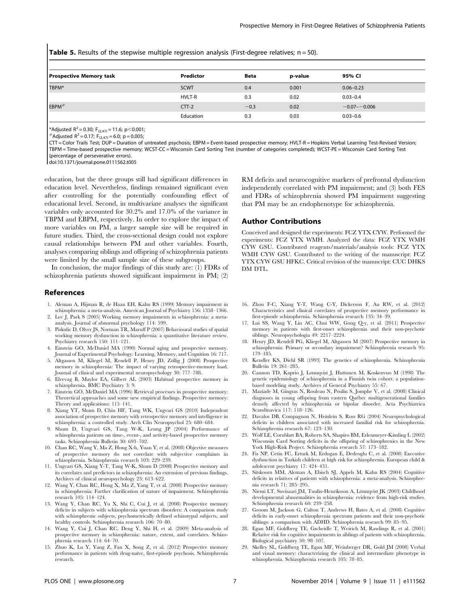**Table 5.** Results of the stepwise multiple regression analysis (First-degree relatives;  $n = 50$ ).

| <b>Prospective Memory task</b> | Predictor     | <b>Beta</b> | p-value | 95% CI           |
|--------------------------------|---------------|-------------|---------|------------------|
| TBPM*                          | <b>SCWT</b>   | 0.4         | 0.001   | $0.06 - 0.23$    |
|                                | <b>HVLT-R</b> | 0.3         | 0.02    | $0.03 - 0.4$     |
| $EBPM$ #                       | $CTT-2$       | $-0.3$      | 0.02    | $-0.07 - -0.006$ |
|                                | Education     | 0.3         | 0.03    | $0.03 - 0.6$     |

\*Adjusted R<sup>2</sup> = 0.30; F<sub>(2,47)</sub> = 11.6; p<0.001;<br>#Adjusted R<sup>2</sup> = 0.17; F<sub>(2,47)</sub> = 6.0; p = 0.005;

CTT = Color Trails Test; DUP = Duration of untreated psychosis; EBPM = Event-based prospective memory; HVLT-R = Hopkins Verbal Learning Test-Revised Version;

TBPM = Time-based prospective memory; WCST-CC = Wisconsin Card Sorting Test (number of categories completed); WCST-PE = Wisconsin Card Sorting Test

(percentage of perseverative errors).

doi:10.1371/journal.pone.0111562.t005

education, but the three groups still had significant differences in education level. Nevertheless, findings remained significant even after controlling for the potentially confounding effect of educational level. Second, in multivariate analyses the significant variables only accounted for 30.2% and 17.0% of the variance in TBPM and EBPM, respectively. In order to explore the impact of more variables on PM, a larger sample size will be required in future studies. Third, the cross-sectional design could not explore causal relationships between PM and other variables. Fourth, analyses comparing siblings and offspring of schizophrenia patients were limited by the small sample size of these subgroups.

In conclusion, the major findings of this study are: (1) FDRs of schizophrenia patients showed significant impairment in PM; (2)

#### References

- 1. Aleman A, Hijman R, de Haan EH, Kahn RS (1999) Memory impairment in schizophrenia: a meta-analysis. American Journal of Psychiatry 156: 1358–1366.
- 2. Lee J, Park S (2005) Working memory impairments in schizophrenia: a metaanalysis. Journal of abnormal psychology 114: 599.
- 3. Piskulic D, Olver JS, Norman TR, Maruff P (2007) Behavioural studies of spatial working memory dysfunction in schizophrenia: a quantitative literature review. Psychiatry research 150: 111–121.
- 4. Einstein GO, McDaniel MA (1990) Normal aging and prospective memory. Journal of Experimental Psychology: Learning, Memory, and Cognition 16: 717.
- 5. Altgassen M, Kliegel M, Rendell P, Henry JD, Zollig J (2008) Prospective memory in schizophrenia: The impact of varying retrospective-memory load. Journal of clinical and experimental neuropsychology 30: 777–788.
- 6. Elvevag B, Maylor EA, Gilbert AL (2003) Habitual prospective memory in schizophrenia. BMC Psychiatry 3: 9.
- 7. Einstein GO, McDaniel MA (1996) Retrieval processes in prospective memory: Theoretical approaches and some new empirical findings. Prospective memory: Theory and applications: 115–141.
- 8. Xiang YT, Shum D, Chiu HF, Tang WK, Ungvari GS (2010) Independent association of prospective memory with retrospective memory and intelligence in schizophrenia: a controlled study. Arch Clin Neuropsychol 25: 680–684.
- 9. Shum D, Ungvari GS, Tang W-K, Leung JP (2004) Performance of schizophrenia patients on time-, event-, and activity-based prospective memory tasks. Schizophrenia Bulletin 30: 693–702.
- 10. Chan RC, Wang Y, Ma Z, Hong X-h, Yuan Y, et al. (2008) Objective measures of prospective memory do not correlate with subjective complaints in schizophrenia. Schizophrenia research 103: 229–239.
- 11. Ungvari GS, Xiang Y-T, Tang W-K, Shum D (2008) Prospective memory and its correlates and predictors in schizophrenia: An extension of previous findings. Archives of clinical neuropsychology 23: 613–622.
- 12. Wang Y, Chan RC, Hong X, Ma Z, Yang T, et al. (2008) Prospective memory in schizophrenia: Further clarification of nature of impairment. Schizophrenia research 105: 114–124.
- 13. Wang Y, Chan RC, Yu X, Shi C, Cui J, et al. (2008) Prospective memory deficits in subjects with schizophrenia spectrum disorders: A comparison study with schizophrenic subjects, psychometrically defined schizotypal subjects, and healthy controls. Schizophrenia research 106: 70–80.
- 14. Wang Y, Cui J, Chan RC, Deng Y, Shi H, et al. (2009) Meta-analysis of prospective memory in schizophrenia: nature, extent, and correlates. Schizophrenia research 114: 64–70.
- 15. Zhuo K, Lu Y, Yang Z, Fan X, Song Z, et al. (2012) Prospective memory performance in patients with drug-naïve, first-episode psychosis. Schizophrenia research.

RM deficits and neurocognitive markers of prefrontal dysfunction independently correlated with PM impairment; and (3) both FES and FDRs of schizophrenia showed PM impairment suggesting that PM may be an endophenotype for schizophrenia.

#### Author Contributions

Conceived and designed the experiments: FCZ YTX CYW. Performed the experiments: FCZ YTX WMH. Analyzed the data: FCZ YTX WMH CYW GSU. Contributed reagents/materials/analysis tools: FCZ YTX WMH CYW GSU. Contributed to the writing of the manuscript: FCZ YTX CYW GSU HFKC. Critical revision of the manuscript: CUC DHKS DM DTL.

- 16. Zhou F-C, Xiang Y-T, Wang C-Y, Dickerson F, Au RW, et al. (2012) Characteristics and clinical correlates of prospective memory performance in first-episode schizophrenia. Schizophrenia research 135: 34–39.
- 17. Lui SS, Wang Y, Liu AC, Chui WW, Gong Q-y, et al. (2011) Prospective memory in patients with first-onset schizophrenia and their non-psychotic siblings. Neuropsychologia 49: 2217–2224.
- 18. Henry JD, Rendell PG, Kliegel M, Altgassen M (2007) Prospective memory in schizophrenia: Primary or secondary impairment? Schizophrenia research 95: 179–185.
- 19. Kendler KS, Diehl SR (1993) The genetics of schizophrenia. Schizophrenia Bulletin 19: 261–285.
- 20. Cannon TD, Kaprio J, Lonnqvist J, Huttunen M, Koskenvuo M (1998) The genetic epidemiology of schizophrenia in a Finnish twin cohort: a populationbased modeling study. Archives of General Psychiatry 55: 67.
- 21. Maziade M, Gingras N, Rouleau N, Poulin S, Jomphe V, et al. (2008) Clinical diagnoses in young offspring from eastern Québec multigenerational families densely affected by schizophrenia or bipolar disorder. Acta Psychiatrica Scandinavica 117: 118–126.
- 22. Davalos DB, Compagnon N, Heinlein S, Ross RG (2004) Neuropsychological deficits in children associated with increased familial risk for schizophrenia. Schizophrenia research 67: 123–130.
- 23. Wolf LE, Cornblatt BA, Roberts SA, Shapiro BM, Erlenmeyer-Kimling L (2002) Wisconsin Card Sorting deficits in the offspring of schizophrenics in the New York High-Risk Project. Schizophrenia research 57: 173–182.
- 24. Fis NP, Cetin FC, Erturk M, Erdogan E, Dedeoglu C, et al. (2008) Executive dysfunction in Turkish children at high risk for schizophrenia. European child & adolescent psychiatry 17: 424–431.
- 25. Sitskoorn MM, Aleman A, Ebisch SJ, Appels M, Kahn RS (2004) Cognitive deficits in relatives of patients with schizophrenia: a meta-analysis. Schizophrenia research 71: 285–295.
- Niemi LT, Suvisaari JM, Tuulio-Henriksson A, Lönnqvist JK (2003) Childhood developmental abnormalities in schizophrenia: evidence from high-risk studies. Schizophrenia research 60: 239–258.
- 27. Groom M, Jackson G, Calton T, Andrews H, Bates A, et al. (2008) Cognitive deficits in early-onset schizophrenia spectrum patients and their non-psychotic siblings: a comparison with ADHD. Schizophrenia research 99: 85–95.
- 28. Egan MF, Goldberg TE, Gscheidle T, Weirich M, Rawlings R, et al. (2001) Relative risk for cognitive impairments in siblings of patients with schizophrenia. Biological psychiatry 50: 98–107.
- 29. Skelley SL, Goldberg TE, Egan MF, Weinberger DR, Gold JM (2008) Verbal and visual memory: characterizing the clinical and intermediate phenotype in schizophrenia. Schizophrenia research 105: 78–85.